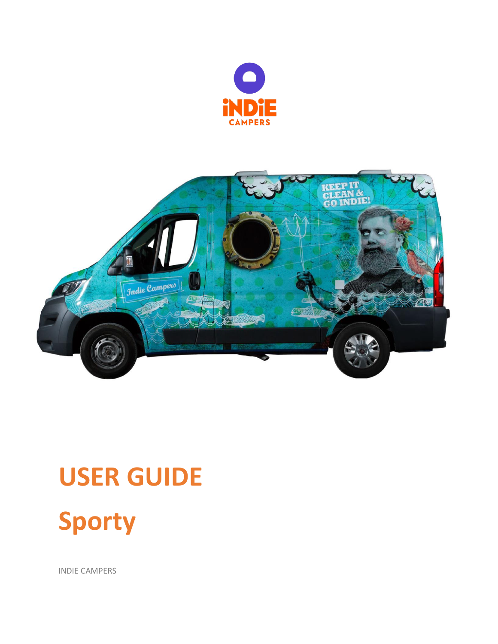



# **USER GUIDE**



INDIE CAMPERS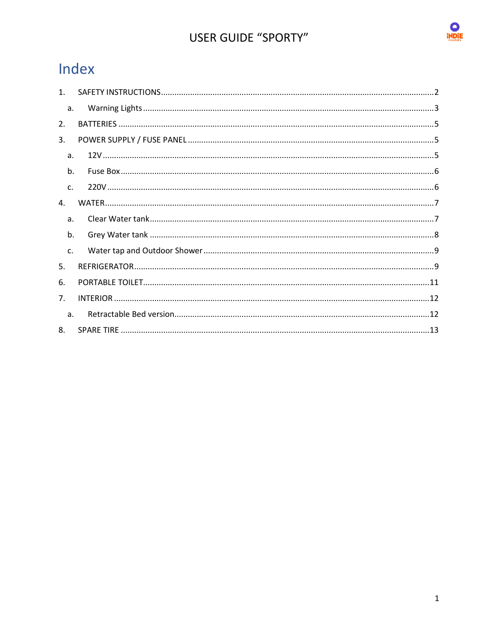

# Index

| 1 <sup>1</sup> |  |
|----------------|--|
| a.             |  |
| 2.             |  |
| 3.             |  |
| a.             |  |
| b.             |  |
| $\mathsf{C}$ . |  |
| $\mathbf{4}$   |  |
| a.             |  |
| b.             |  |
| C <sub>1</sub> |  |
| 5.             |  |
| 6.             |  |
| 7 <sub>1</sub> |  |
| a <sub>z</sub> |  |
| 8.             |  |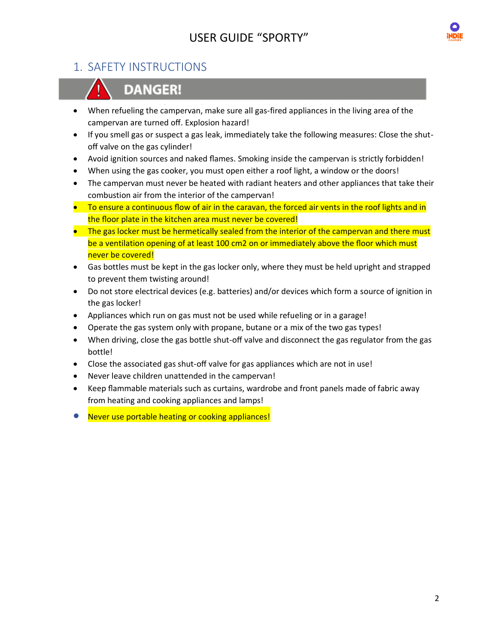

## <span id="page-2-0"></span>1. SAFETY INSTRUCTIONS



# **DANGER!**

- When refueling the campervan, make sure all gas-fired appliances in the living area of the campervan are turned off. Explosion hazard!
- If you smell gas or suspect a gas leak, immediately take the following measures: Close the shutoff valve on the gas cylinder!
- Avoid ignition sources and naked flames. Smoking inside the campervan is strictly forbidden!
- When using the gas cooker, you must open either a roof light, a window or the doors!
- The campervan must never be heated with radiant heaters and other appliances that take their combustion air from the interior of the campervan!
- To ensure a continuous flow of air in the caravan, the forced air vents in the roof lights and in the floor plate in the kitchen area must never be covered!
- The gas locker must be hermetically sealed from the interior of the campervan and there must be a ventilation opening of at least 100 cm2 on or immediately above the floor which must never be covered!
- Gas bottles must be kept in the gas locker only, where they must be held upright and strapped to prevent them twisting around!
- Do not store electrical devices (e.g. batteries) and/or devices which form a source of ignition in the gas locker!
- Appliances which run on gas must not be used while refueling or in a garage!
- Operate the gas system only with propane, butane or a mix of the two gas types!
- When driving, close the gas bottle shut-off valve and disconnect the gas regulator from the gas bottle!
- Close the associated gas shut-off valve for gas appliances which are not in use!
- Never leave children unattended in the campervan!
- Keep flammable materials such as curtains, wardrobe and front panels made of fabric away from heating and cooking appliances and lamps!
- Never use portable heating or cooking appliances!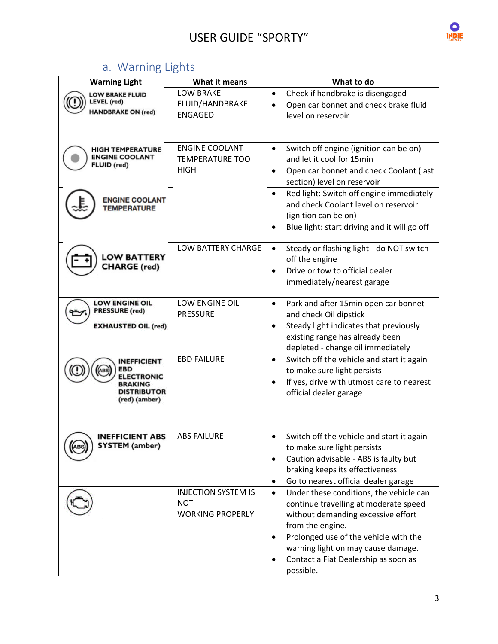

# a. Warning Lights

<span id="page-3-0"></span>

| <b>LOW BRAKE</b><br>Check if handbrake is disengaged<br>$\bullet$<br><b>LOW BRAKE FLUID</b><br><b>LEVEL (red)</b><br>FLUID/HANDBRAKE<br>Open car bonnet and check brake fluid<br>$\bullet$<br><b>HANDBRAKE ON (red)</b><br><b>ENGAGED</b><br>level on reservoir<br><b>ENGINE COOLANT</b><br>Switch off engine (ignition can be on)<br>$\bullet$<br><b>HIGH TEMPERATURE</b><br><b>ENGINE COOLANT</b><br><b>TEMPERATURE TOO</b><br>and let it cool for 15min<br>FLUID (red)<br><b>HIGH</b><br>Open car bonnet and check Coolant (last<br>$\bullet$<br>section) level on reservoir<br>Red light: Switch off engine immediately<br>$\bullet$<br><b>ENGINE COOLANT</b><br>and check Coolant level on reservoir<br><b>TEMPERATURE</b><br>(ignition can be on)<br>Blue light: start driving and it will go off<br>$\bullet$<br>LOW BATTERY CHARGE<br>Steady or flashing light - do NOT switch<br>$\bullet$<br><b>LOW BATTERY</b><br>off the engine<br><b>CHARGE</b> (red)<br>$\bullet$ | <b>Warning Light</b> | What it means | What to do                      |
|---------------------------------------------------------------------------------------------------------------------------------------------------------------------------------------------------------------------------------------------------------------------------------------------------------------------------------------------------------------------------------------------------------------------------------------------------------------------------------------------------------------------------------------------------------------------------------------------------------------------------------------------------------------------------------------------------------------------------------------------------------------------------------------------------------------------------------------------------------------------------------------------------------------------------------------------------------------------------------|----------------------|---------------|---------------------------------|
|                                                                                                                                                                                                                                                                                                                                                                                                                                                                                                                                                                                                                                                                                                                                                                                                                                                                                                                                                                                 |                      |               |                                 |
|                                                                                                                                                                                                                                                                                                                                                                                                                                                                                                                                                                                                                                                                                                                                                                                                                                                                                                                                                                                 |                      |               |                                 |
|                                                                                                                                                                                                                                                                                                                                                                                                                                                                                                                                                                                                                                                                                                                                                                                                                                                                                                                                                                                 |                      |               |                                 |
|                                                                                                                                                                                                                                                                                                                                                                                                                                                                                                                                                                                                                                                                                                                                                                                                                                                                                                                                                                                 |                      |               |                                 |
|                                                                                                                                                                                                                                                                                                                                                                                                                                                                                                                                                                                                                                                                                                                                                                                                                                                                                                                                                                                 |                      |               |                                 |
|                                                                                                                                                                                                                                                                                                                                                                                                                                                                                                                                                                                                                                                                                                                                                                                                                                                                                                                                                                                 |                      |               |                                 |
|                                                                                                                                                                                                                                                                                                                                                                                                                                                                                                                                                                                                                                                                                                                                                                                                                                                                                                                                                                                 |                      |               |                                 |
|                                                                                                                                                                                                                                                                                                                                                                                                                                                                                                                                                                                                                                                                                                                                                                                                                                                                                                                                                                                 |                      |               |                                 |
|                                                                                                                                                                                                                                                                                                                                                                                                                                                                                                                                                                                                                                                                                                                                                                                                                                                                                                                                                                                 |                      |               |                                 |
|                                                                                                                                                                                                                                                                                                                                                                                                                                                                                                                                                                                                                                                                                                                                                                                                                                                                                                                                                                                 |                      |               |                                 |
|                                                                                                                                                                                                                                                                                                                                                                                                                                                                                                                                                                                                                                                                                                                                                                                                                                                                                                                                                                                 |                      |               |                                 |
|                                                                                                                                                                                                                                                                                                                                                                                                                                                                                                                                                                                                                                                                                                                                                                                                                                                                                                                                                                                 |                      |               |                                 |
|                                                                                                                                                                                                                                                                                                                                                                                                                                                                                                                                                                                                                                                                                                                                                                                                                                                                                                                                                                                 |                      |               |                                 |
|                                                                                                                                                                                                                                                                                                                                                                                                                                                                                                                                                                                                                                                                                                                                                                                                                                                                                                                                                                                 |                      |               | Drive or tow to official dealer |
| immediately/nearest garage                                                                                                                                                                                                                                                                                                                                                                                                                                                                                                                                                                                                                                                                                                                                                                                                                                                                                                                                                      |                      |               |                                 |
| <b>LOW ENGINE OIL</b><br>LOW ENGINE OIL<br>Park and after 15min open car bonnet<br>$\bullet$                                                                                                                                                                                                                                                                                                                                                                                                                                                                                                                                                                                                                                                                                                                                                                                                                                                                                    |                      |               |                                 |
| <b>PRESSURE</b> (red)<br><b>PRESSURE</b><br>and check Oil dipstick                                                                                                                                                                                                                                                                                                                                                                                                                                                                                                                                                                                                                                                                                                                                                                                                                                                                                                              |                      |               |                                 |
| Steady light indicates that previously<br><b>EXHAUSTED OIL (red)</b><br>$\bullet$                                                                                                                                                                                                                                                                                                                                                                                                                                                                                                                                                                                                                                                                                                                                                                                                                                                                                               |                      |               |                                 |
| existing range has already been                                                                                                                                                                                                                                                                                                                                                                                                                                                                                                                                                                                                                                                                                                                                                                                                                                                                                                                                                 |                      |               |                                 |
| depleted - change oil immediately<br><b>EBD FAILURE</b><br>Switch off the vehicle and start it again<br>$\bullet$<br><b>INEFFICIENT</b>                                                                                                                                                                                                                                                                                                                                                                                                                                                                                                                                                                                                                                                                                                                                                                                                                                         |                      |               |                                 |
| EBD<br>to make sure light persists                                                                                                                                                                                                                                                                                                                                                                                                                                                                                                                                                                                                                                                                                                                                                                                                                                                                                                                                              |                      |               |                                 |
| <b>ELECTRONIC</b><br>If yes, drive with utmost care to nearest<br>$\bullet$<br><b>BRAKING</b>                                                                                                                                                                                                                                                                                                                                                                                                                                                                                                                                                                                                                                                                                                                                                                                                                                                                                   |                      |               |                                 |
| <b>DISTRIBUTOR</b><br>official dealer garage<br>(red) (amber)                                                                                                                                                                                                                                                                                                                                                                                                                                                                                                                                                                                                                                                                                                                                                                                                                                                                                                                   |                      |               |                                 |
|                                                                                                                                                                                                                                                                                                                                                                                                                                                                                                                                                                                                                                                                                                                                                                                                                                                                                                                                                                                 |                      |               |                                 |
|                                                                                                                                                                                                                                                                                                                                                                                                                                                                                                                                                                                                                                                                                                                                                                                                                                                                                                                                                                                 |                      |               |                                 |
| <b>ABS FAILURE</b><br>Switch off the vehicle and start it again<br><b>INEFFICIENT ABS</b>                                                                                                                                                                                                                                                                                                                                                                                                                                                                                                                                                                                                                                                                                                                                                                                                                                                                                       |                      |               |                                 |
| <b>SYSTEM</b> (amber)<br>to make sure light persists                                                                                                                                                                                                                                                                                                                                                                                                                                                                                                                                                                                                                                                                                                                                                                                                                                                                                                                            |                      |               |                                 |
| Caution advisable - ABS is faulty but<br>$\bullet$                                                                                                                                                                                                                                                                                                                                                                                                                                                                                                                                                                                                                                                                                                                                                                                                                                                                                                                              |                      |               |                                 |
| braking keeps its effectiveness<br>Go to nearest official dealer garage                                                                                                                                                                                                                                                                                                                                                                                                                                                                                                                                                                                                                                                                                                                                                                                                                                                                                                         |                      |               |                                 |
| $\bullet$<br><b>INJECTION SYSTEM IS</b><br>Under these conditions, the vehicle can<br>$\bullet$                                                                                                                                                                                                                                                                                                                                                                                                                                                                                                                                                                                                                                                                                                                                                                                                                                                                                 |                      |               |                                 |
| <b>NOT</b><br>continue travelling at moderate speed                                                                                                                                                                                                                                                                                                                                                                                                                                                                                                                                                                                                                                                                                                                                                                                                                                                                                                                             |                      |               |                                 |
| <b>WORKING PROPERLY</b><br>without demanding excessive effort                                                                                                                                                                                                                                                                                                                                                                                                                                                                                                                                                                                                                                                                                                                                                                                                                                                                                                                   |                      |               |                                 |
| from the engine.                                                                                                                                                                                                                                                                                                                                                                                                                                                                                                                                                                                                                                                                                                                                                                                                                                                                                                                                                                |                      |               |                                 |
| Prolonged use of the vehicle with the                                                                                                                                                                                                                                                                                                                                                                                                                                                                                                                                                                                                                                                                                                                                                                                                                                                                                                                                           |                      |               |                                 |
| warning light on may cause damage.                                                                                                                                                                                                                                                                                                                                                                                                                                                                                                                                                                                                                                                                                                                                                                                                                                                                                                                                              |                      |               |                                 |
| Contact a Fiat Dealership as soon as<br>possible.                                                                                                                                                                                                                                                                                                                                                                                                                                                                                                                                                                                                                                                                                                                                                                                                                                                                                                                               |                      |               |                                 |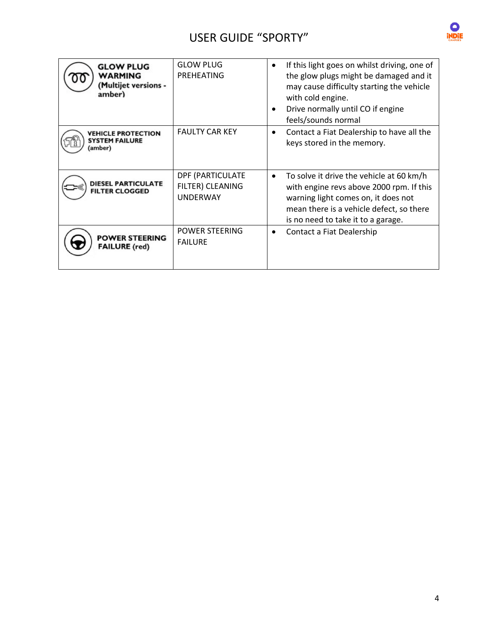

| <b>GLOW PLUG</b><br>WARMING<br><b>Multijet versions -</b><br>amber) | <b>GLOW PLUG</b><br>PREHEATING                          | If this light goes on whilst driving, one of<br>$\bullet$<br>the glow plugs might be damaged and it<br>may cause difficulty starting the vehicle<br>with cold engine.<br>Drive normally until CO if engine<br>$\bullet$<br>feels/sounds normal |
|---------------------------------------------------------------------|---------------------------------------------------------|------------------------------------------------------------------------------------------------------------------------------------------------------------------------------------------------------------------------------------------------|
| <b>VEHICLE PROTECTION</b><br><b>SYSTEM FAILURE</b><br>(amber)       | <b>FAULTY CAR KEY</b>                                   | Contact a Fiat Dealership to have all the<br>$\bullet$<br>keys stored in the memory.                                                                                                                                                           |
| <b>DIESEL PARTICULATE</b><br><b>FILTER CLOGGED</b>                  | DPF (PARTICULATE<br>FILTER) CLEANING<br><b>UNDERWAY</b> | To solve it drive the vehicle at 60 km/h<br>$\bullet$<br>with engine revs above 2000 rpm. If this<br>warning light comes on, it does not<br>mean there is a vehicle defect, so there<br>is no need to take it to a garage.                     |
| <b>POWER STEERING</b><br><b>FAILURE</b> (red)                       | <b>POWER STEERING</b><br><b>FAILURE</b>                 | Contact a Fiat Dealership                                                                                                                                                                                                                      |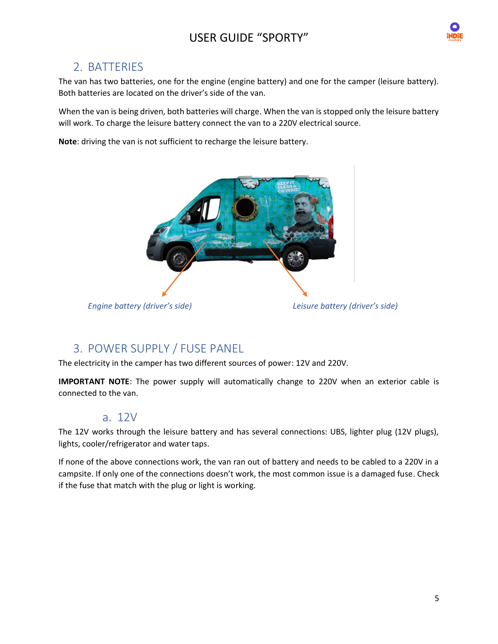

## <span id="page-5-0"></span>2. BATTERIES

The van has two batteries, one for the engine (engine battery) and one for the camper (leisure battery). Both batteries are located on the driver's side of the van.

When the van is being driven, both batteries will charge. When the van is stopped only the leisure battery will work. To charge the leisure battery connect the van to a 220V electrical source.

**Note**: driving the van is not sufficient to recharge the leisure battery.



## <span id="page-5-1"></span>3. POWER SUPPLY / FUSE PANEL

The electricity in the camper has two different sources of power: 12V and 220V.

**IMPORTANT NOTE**: The power supply will automatically change to 220V when an exterior cable is connected to the van.

## a. 12V

<span id="page-5-2"></span>The 12V works through the leisure battery and has several connections: UBS, lighter plug (12V plugs), lights, cooler/refrigerator and water taps.

If none of the above connections work, the van ran out of battery and needs to be cabled to a 220V in a campsite. If only one of the connections doesn't work, the most common issue is a damaged fuse. Check if the fuse that match with the plug or light is working.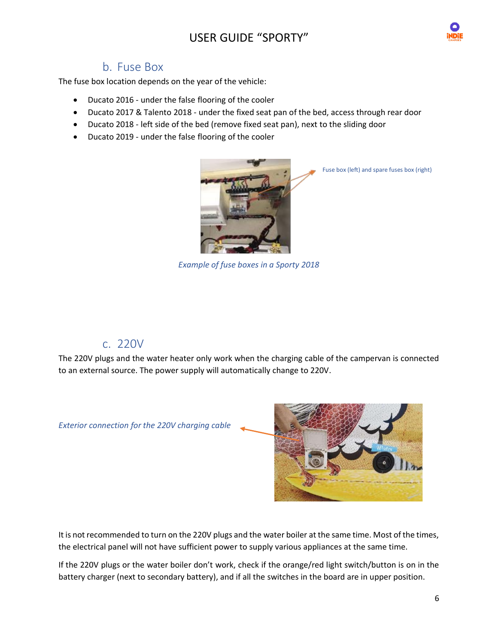

## b. Fuse Box

<span id="page-6-0"></span>The fuse box location depends on the year of the vehicle:

- Ducato 2016 under the false flooring of the cooler
- Ducato 2017 & Talento 2018 under the fixed seat pan of the bed, access through rear door
- Ducato 2018 left side of the bed (remove fixed seat pan), next to the sliding door
- Ducato 2019 under the false flooring of the cooler



Fuse box (left) and spare fuses box (right)

*Example of fuse boxes in a Sporty 2018*

## c. 220V

<span id="page-6-1"></span>The 220V plugs and the water heater only work when the charging cable of the campervan is connected to an external source. The power supply will automatically change to 220V.

*Exterior connection for the 220V charging cable*



It is not recommended to turn on the 220V plugs and the water boiler at the same time. Most of the times, the electrical panel will not have sufficient power to supply various appliances at the same time.

If the 220V plugs or the water boiler don't work, check if the orange/red light switch/button is on in the battery charger (next to secondary battery), and if all the switches in the board are in upper position.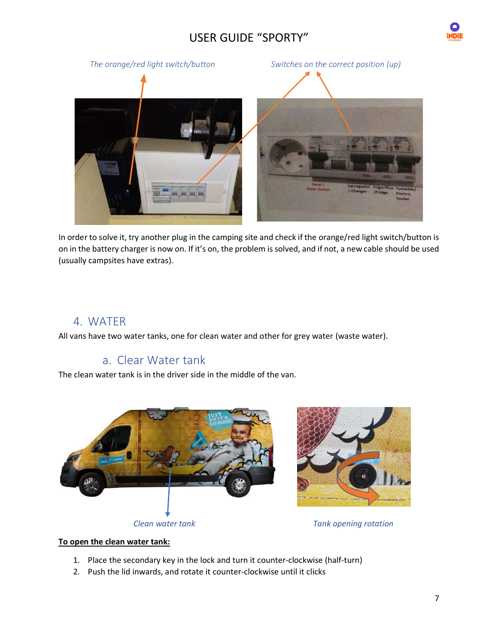



In order to solve it, try another plug in the camping site and check if the orange/red light switch/button is on in the battery charger is now on. If it's on, the problem is solved, and if not, a new cable should be used (usually campsites have extras).

## <span id="page-7-0"></span>4. WATER

<span id="page-7-1"></span>All vans have two water tanks, one for clean water and other for grey water (waste water).

## a. Clear Water tank

The clean water tank is in the driver side in the middle of the van.





#### **To open the clean water tank:**

- 1. Place the secondary key in the lock and turn it counter-clockwise (half-turn)
- 2. Push the lid inwards, and rotate it counter-clockwise until it clicks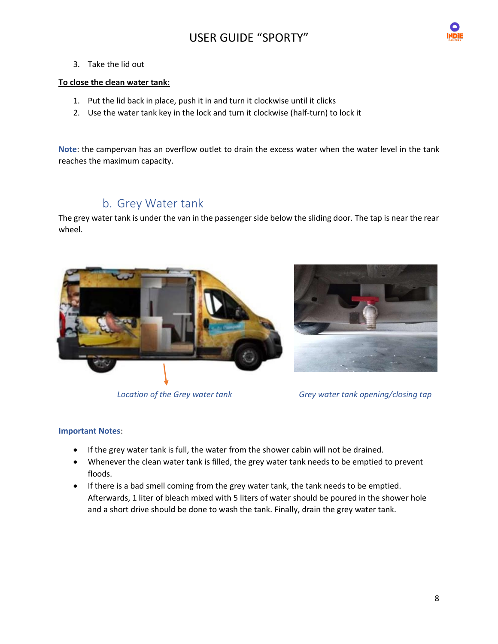

3. Take the lid out

#### **To close the clean water tank:**

- 1. Put the lid back in place, push it in and turn it clockwise until it clicks
- 2. Use the water tank key in the lock and turn it clockwise (half-turn) to lock it

**Note**: the campervan has an overflow outlet to drain the excess water when the water level in the tank reaches the maximum capacity.

# b. Grey Water tank

<span id="page-8-0"></span>The grey water tank is under the van in the passenger side below the sliding door. The tap is near the rear wheel.







*Location of the Grey water tank Grey water tank opening/closing tap*

#### **Important Notes**:

- If the grey water tank is full, the water from the shower cabin will not be drained.
- Whenever the clean water tank is filled, the grey water tank needs to be emptied to prevent floods.
- If there is a bad smell coming from the grey water tank, the tank needs to be emptied. Afterwards, 1 liter of bleach mixed with 5 liters of water should be poured in the shower hole and a short drive should be done to wash the tank. Finally, drain the grey water tank.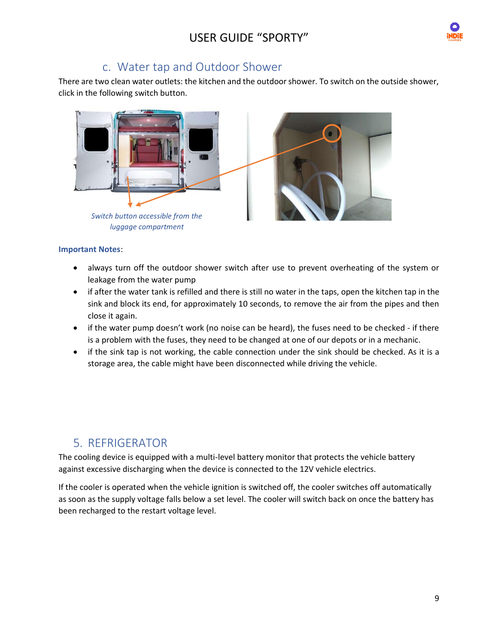

## c. Water tap and Outdoor Shower

<span id="page-9-0"></span>There are two clean water outlets: the kitchen and the outdoor shower. To switch on the outside shower, click in the following switch button.



#### **Important Notes**:

- always turn off the outdoor shower switch after use to prevent overheating of the system or leakage from the water pump
- if after the water tank is refilled and there is still no water in the taps, open the kitchen tap in the sink and block its end, for approximately 10 seconds, to remove the air from the pipes and then close it again.
- if the water pump doesn't work (no noise can be heard), the fuses need to be checked if there is a problem with the fuses, they need to be changed at one of our depots or in a mechanic.
- if the sink tap is not working, the cable connection under the sink should be checked. As it is a storage area, the cable might have been disconnected while driving the vehicle.

# <span id="page-9-1"></span>5. REFRIGERATOR

The cooling device is equipped with a multi-level battery monitor that protects the vehicle battery against excessive discharging when the device is connected to the 12V vehicle electrics.

If the cooler is operated when the vehicle ignition is switched off, the cooler switches off automatically as soon as the supply voltage falls below a set level. The cooler will switch back on once the battery has been recharged to the restart voltage level.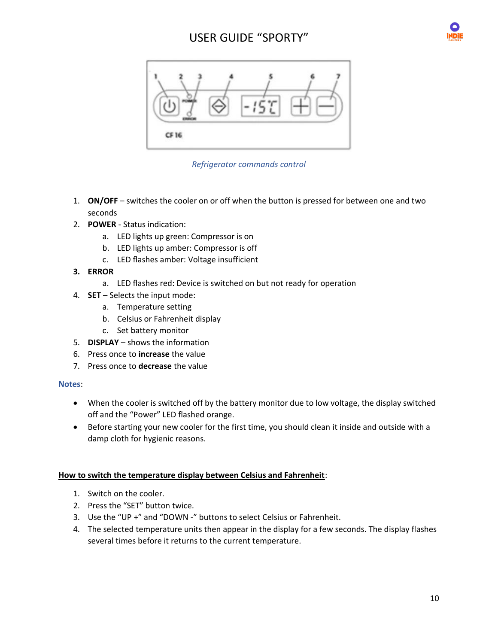



*Refrigerator commands control*

- 1. **ON/OFF** switches the cooler on or off when the button is pressed for between one and two seconds
- 2. **POWER** Status indication:
	- a. LED lights up green: Compressor is on
	- b. LED lights up amber: Compressor is off
	- c. LED flashes amber: Voltage insufficient
- **3. ERROR**
	- a. LED flashes red: Device is switched on but not ready for operation
- 4. **SET** Selects the input mode:
	- a. Temperature setting
	- b. Celsius or Fahrenheit display
	- c. Set battery monitor
- 5. **DISPLAY** shows the information
- 6. Press once to **increase** the value
- 7. Press once to **decrease** the value

#### **Notes**:

- When the cooler is switched off by the battery monitor due to low voltage, the display switched off and the "Power" LED flashed orange.
- Before starting your new cooler for the first time, you should clean it inside and outside with a damp cloth for hygienic reasons.

#### **How to switch the temperature display between Celsius and Fahrenheit**:

- 1. Switch on the cooler.
- 2. Press the "SET" button twice.
- 3. Use the "UP +" and "DOWN -" buttons to select Celsius or Fahrenheit.
- 4. The selected temperature units then appear in the display for a few seconds. The display flashes several times before it returns to the current temperature.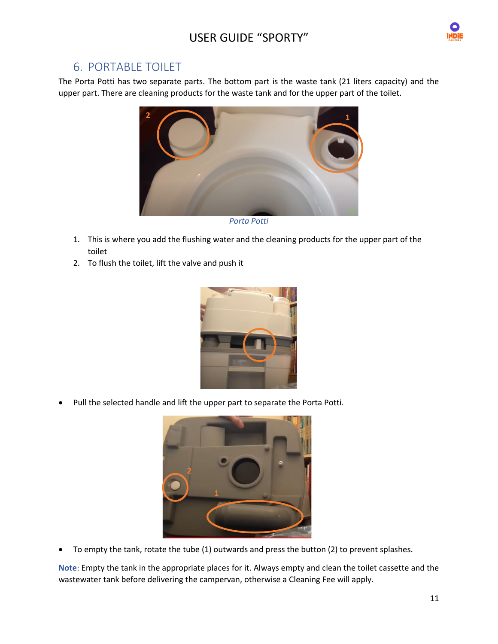

## <span id="page-11-0"></span>6. PORTABLE TOILET

The Porta Potti has two separate parts. The bottom part is the waste tank (21 liters capacity) and the upper part. There are cleaning products for the waste tank and for the upper part of the toilet.



1. This is where you add the flushing water and the cleaning products for the upper part of the toilet

2. To flush the toilet, lift the valve and push it



• Pull the selected handle and lift the upper part to separate the Porta Potti.



• To empty the tank, rotate the tube (1) outwards and press the button (2) to prevent splashes.

**Note**: Empty the tank in the appropriate places for it. Always empty and clean the toilet cassette and the wastewater tank before delivering the campervan, otherwise a Cleaning Fee will apply.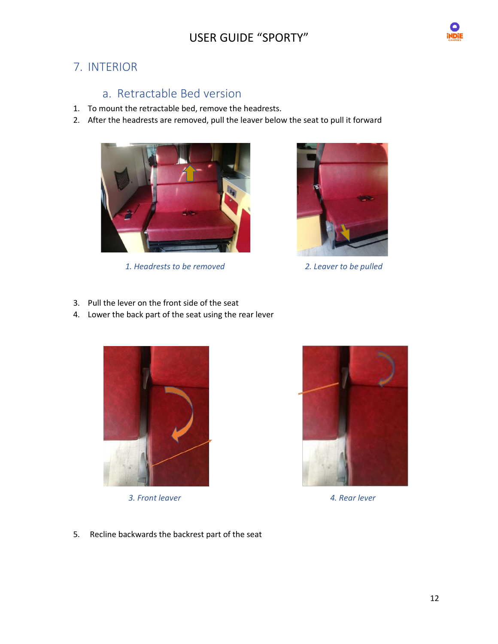

# <span id="page-12-1"></span><span id="page-12-0"></span>7. INTERIOR

# a. Retractable Bed version

- 1. To mount the retractable bed, remove the headrests.
- 2. After the headrests are removed, pull the leaver below the seat to pull it forward



 *1. Headrests to be removed 2. Leaver to be pulled*



- 3. Pull the lever on the front side of the seat
- 4. Lower the back part of the seat using the rear lever



 *3. Front leaver 4. Rear lever*



5. Recline backwards the backrest part of the seat